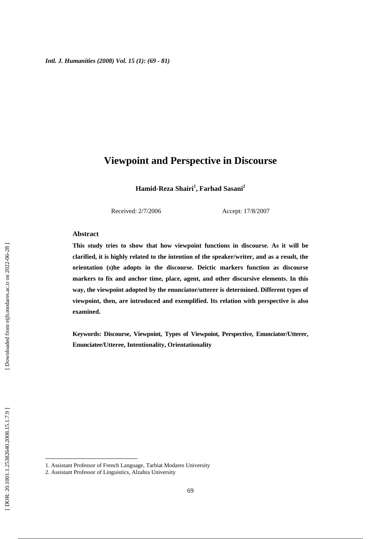# **Viewpoint and Perspective in Discourse**

**Hamid-Reza Shairi 1 , Farhad Sasani 2**

Received: 2/7/2006 Accept: 17/8/2007

### **Abstract**

**This study tries to show that how viewpoint functions in discourse. As it will be clarified, it is highly related to the intention of the speaker/writer, and as a result, the orientation (s)he adopts in the discourse. Deictic markers function as discourse markers to fix and anchor time, place, agent, and other discursive elements. In this way, the viewpoint adopted by the enunciator/utterer is determined. Different types of viewpoint, then, are introduced and exemplified. Its relation with perspective is also examined.** 

**Keywords: Discourse, Viewpoint, Types of Viewpoint, Perspective, Enunciator/Utterer, Enunciatee/Utteree, Intentionality, Orientationality** 

1

<sup>1.</sup> Assistant Professor of French Language, Tarbiat Modares University

<sup>2.</sup> Assistant Professor of Linguistics, Alzahra University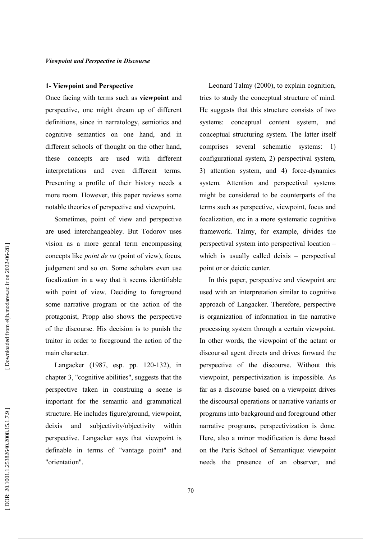#### 1- Viewpoint and Perspective

Once facing with terms such as **viewpoint** and perspective, one might dream up of different definitions, since in narratology, semiotics and cognitive semantics on one hand, and in different schools of thought on the other hand, these concents are used with different interpretations and even different terms. Presenting a profile of their history needs a more room. However, this paper reviews some notable theories of perspective and viewpoint.

Sometimes, point of view and perspective are used interchangeabley. But Todorov uses vision as a more genral term encompassing concepts like *point de vu* (point of view), focus, judgement and so on. Some scholars even use focalization in a way that it seems identifiable with point of view. Deciding to foreground some narrative program or the action of the protagonist, Propp also shows the perspective of the discourse. His decision is to punish the traitor in order to foreground the action of the main character.

Langacker (1987, esp. pp. 120-132), in chapter 3, "cognitive abilities", suggests that the perspective taken in construing a scene is important for the semantic and grammatical structure. He includes figure/ground, viewpoint, deixis and subjectivity/objectivity within perspective. Langacker says that viewpoint is definable in terms of "vantage point" and "orientation".

Leonard Talmy (2000), to explain cognition, tries to study the conceptual structure of mind. He suggests that this structure consists of two systems: conceptual content system, and conceptual structuring system. The latter itself comprises several schematic systems: <sup>1</sup> configurational system, 2) perspectival system, 3) attention system, and 4) force-dynamics system. Attention and perspectival systems might be considered to be counterparts of the terms such as perspective, viewpoint, focus and focalization, etc in a more systematic cognitive framework. Talmy, for example, divides the perspectival system into perspectival location – which is usually called deixis - perspectival point or or deictic center.

In this paper, perspective and viewpoint are used with an interpretation similar to cognitive approach of Langacker. Therefore, perspective is organization of information in the narrative processing system through a certain viewpoint. In other words, the viewpoint of the actant or discoursal agent directs and drives forward the perspective of the discourse. Without this viewpoint, perspectivization is impossible. As far as a discourse based on a viewpoint drives the discoursal operations or narrative variants or programs into background and foreground other narrative programs, perspectivization is done. Here, also a minor modification is done based on the Paris School of Semantique: viewpoint needs the presence of an observer, and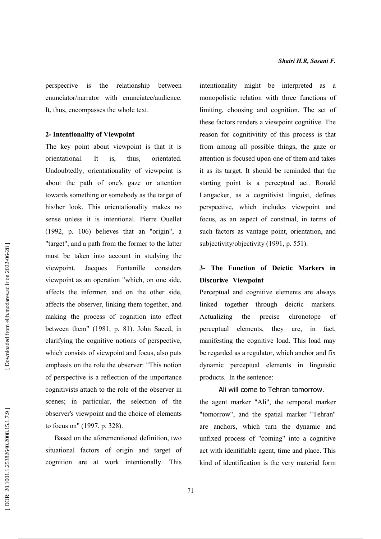is the relationship between perspecrive enunciator/narrator with enunciatee/audience. It, thus, encompasses the whole text.

### 2- Intentionality of Viewpoint

The key point about viewpoint is that it is orientational. It  $is.$ thus. orientated. Undoubtedly, orientationality of viewpoint is about the path of one's gaze or attention towards something or somebody as the target of his/her look. This orientationality makes no sense unless it is intentional. Pierre Ouellet  $(1992, p. 106)$  believes that an "origin", a "target", and a path from the former to the latter must be taken into account in studying the Jacques Fontanille viewpoint. considers viewpoint as an operation "which, on one side, affects the informer, and on the other side, affects the observer, linking them together, and making the process of cognition into effect between them" (1981, p. 81). John Saeed, in clarifying the cognitive notions of perspective. which consists of viewpoint and focus, also puts emphasis on the role the observer: "This notion of perspective is a reflection of the importance cognitivists attach to the role of the observer in scenes; in particular, the selection of the observer's viewpoint and the choice of elements to focus on" (1997, p. 328).

Based on the aforementioned definition, two situational factors of origin and target of cognition are at work intentionally. This

intentionality might be interpreted as a monopolistic relation with three functions of limiting, choosing and cognition. The set of these factors renders a viewpoint cognitive. The reason for cognitivitity of this process is that from among all possible things, the gaze or attention is focused upon one of them and takes it as its target. It should be reminded that the starting point is a perceptual act. Ronald Langacker, as a cognitivist linguist, defines perspective, which includes viewpoint and focus, as an aspect of construal, in terms of such factors as vantage point, orientation, and subjectivity/objectivity (1991, p. 551).

# 3- The Function of Deictic Markers in Discurive Viewpoint

Perceptual and cognitive elements are always linked together through deictic markers. Actualizing the precise chronotope of perceptual elements, they are, in fact. manifesting the cognitive load. This load may be regarded as a regulator, which anchor and fix dynamic perceptual elements in linguistic products. In the sentence:

Ali will come to Tehran tomorrow. the agent marker "Ali", the temporal marker "tomorrow", and the spatial marker "Tehran" are anchors, which turn the dynamic and unfixed process of "coming" into a cognitive act with identifiable agent, time and place. This kind of identification is the very material form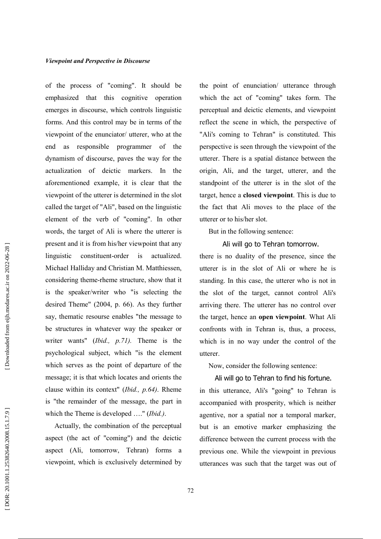of the process of "coming". It should be emphasized that this cognitive operation emerges in discourse, which controls linguistic forms. And this control may be in terms of the viewpoint of the enunciator/ utterer, who at the end as responsible programmer of the dynamism of discourse, paves the way for the actualization of deictic markers. In the aforementioned example, it is clear that the viewpoint of the utterer is determined in the slot called the target of "Ali", based on the linguistic element of the verb of "coming". In other words, the target of Ali is where the utterer is present and it is from his/her viewpoint that any linguistic constituent-order  $\frac{1}{1}$ actualized. Michael Halliday and Christian M. Matthiessen, considering theme-rheme structure, show that it is the speaker/writer who "is selecting the desired Theme" (2004, p. 66). As they further say, thematic resourse enables "the message to be structures in whatever way the speaker or writer wants" (*Ibid.*,  $p.71$ ). Theme is the psychological subject, which "is the element which serves as the point of departure of the message; it is that which locates and orients the clause within its context" (Ibid., p.64). Rheme is "the remainder of the message, the part in which the Theme is developed ...." (*Ibid.*).

Actually, the combination of the perceptual aspect (the act of "coming") and the deictic aspect (Ali, tomorrow, Tehran) forms a viewpoint, which is exclusively determined by the point of enunciation/ utterance through which the act of "coming" takes form. The perceptual and deictic elements, and viewpoint reflect the scene in which, the perspective of "Ali's coming to Tehran" is constituted. This perspective is seen through the viewpoint of the utterer. There is a spatial distance between the origin, Ali, and the target, utterer, and the standpoint of the utterer is in the slot of the target, hence a closed viewpoint. This is due to the fact that Ali moves to the place of the utterer or to his/her slot.

But in the following sentence:

# Ali will go to Tehran tomorrow.

there is no duality of the presence, since the utterer is in the slot of Ali or where he is standing. In this case, the utterer who is not in the slot of the target, cannot control Ali's arriving there. The utterer has no control over the target, hence an open viewpoint. What Ali confronts with in Tehran is, thus, a process, which is in no way under the control of the utterer.

Now, consider the following sentence:

## Ali will go to Tehran to find his fortune.

in this utterance, Ali's "going" to Tehran is accompanied with prosperity, which is neither agentive, nor a spatial nor a temporal marker, but is an emotive marker emphasizing the difference between the current process with the previous one. While the viewpoint in previous utterances was such that the target was out of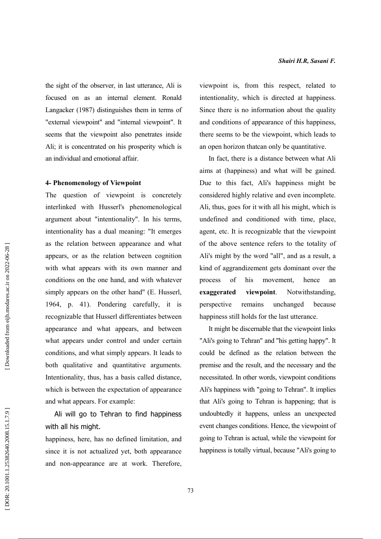the sight of the observer, in last utterance, Ali is focused on as an internal element. Ronald Langacker (1987) distinguishes them in terms of "external viewpoint" and "internal viewpoint". It seems that the viewpoint also penetrates inside Ali; it is concentrated on his prosperity which is an individual and emotional affair.

### **4- Phenomenology of Viewpoint**

question of viewpoint is concretely The interlinked with Husserl's phenomenological argument about "intentionality". In his terms, intentionality has a dual meaning: "It emerges as the relation between appearance and what appears, or as the relation between cognition with what appears with its own manner and conditions on the one hand, and with whatever simply appears on the other hand" (E. Husserl, 1964, p. 41). Pondering carefully, it is recognizable that Husserl differentiates between appearance and what appears, and between what appears under control and under certain conditions, and what simply appears. It leads to both qualitative and quantitative arguments. Intentionality, thus, has a basis called distance, which is between the expectation of appearance and what appears. For example:

Ali will go to Tehran to find happiness with all his might.

happiness, here, has no defined limitation, and since it is not actualized yet, both appearance and non-appearance are at work. Therefore, viewpoint is, from this respect, related to intentionality, which is directed at happiness. Since there is no information about the quality and conditions of appearance of this happiness, there seems to be the viewpoint, which leads to an open horizon thatcan only be quantitative.

In fact, there is a distance between what Ali aims at (happiness) and what will be gained. Due to this fact, Ali's happiness might be considered highly relative and even incomplete. Ali, thus, goes for it with all his might, which is undefined and conditioned with time, place, agent, etc. It is recognizable that the viewpoint of the above sentence refers to the totality of Ali's might by the word "all", and as a result, a kind of aggrandizement gets dominant over the his process of movement. hence an exaggerated viewpoint. Notwithstanding. remains unchanged perspective because happiness still holds for the last utterance.

It might be discernable that the viewpoint links "Ali's going to Tehran" and "his getting happy". It could be defined as the relation between the premise and the result, and the necessary and the necessitated. In other words, viewpoint conditions Ali's happiness with "going to Tehran". It implies that Ali's going to Tehran is happening; that is undoubtedly it happens, unless an unexpected event changes conditions. Hence, the viewpoint of going to Tehran is actual, while the viewpoint for happiness is totally virtual, because "Ali's going to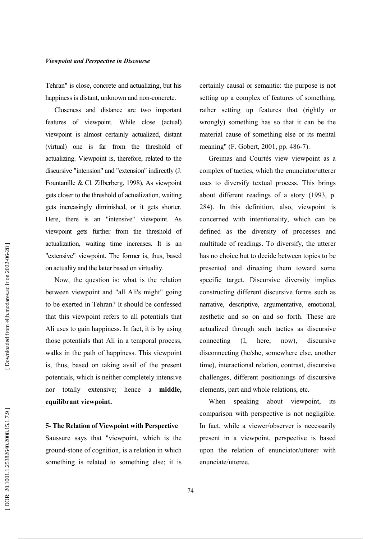Tehran" is close, concrete and actualizing, but his happiness is distant, unknown and non-concrete.

Closeness and distance are two important features of viewpoint. While close (actual) viewpoint is almost certainly actualized, distant (virtual) one is far from the threshold of actualizing. Viewpoint is, therefore, related to the discursive "intension" and "extension" indirectly (J. Fountanille & Cl. Zilberberg, 1998). As viewpoint gets closer to the threshold of actualization, waiting gets increasingly diminished, or it gets shorter. Here, there is an "intensive" viewpoint. As viewpoint gets further from the threshold of actualization, waiting time increases. It is an "extensive" viewpoint. The former is, thus, based on actuality and the latter based on virtuality.

Now, the question is: what is the relation between viewpoint and "all Ali's might" going to be exerted in Tehran? It should be confessed that this viewpoint refers to all potentials that All uses to gain happiness. In fact, it is by using those potentials that Ali in a temporal process. walks in the path of happiness. This viewpoint is, thus, based on taking avail of the present potentials, which is neither completely intensive nor totally extensive; hence a middle, equilibrant viewpoint.

**5- The Relation of Viewpoint with Perspective** Saussure says that "viewpoint, which is the ground-stone of cognition, is a relation in which something is related to something else; it is certainly causal or semantic: the purpose is not setting up a complex of features of something. rather setting up features that (rightly or wrongly) something has so that it can be the material cause of something else or its mental meaning" (F. Gobert, 2001, pp. 486-7).

Greimas and Courtés view viewpoint as a complex of tactics, which the enunciator/utterer uses to diversify textual process. This brings about different readings of a story (1993, p. 284). In this definition, also, viewpoint is concerned with intentionality, which can be defined as the diversity of processes and multitude of readings. To diversify, the utterer has no choice but to decide between topics to be presented and directing them toward some specific target. Discursive diversity implies constructing different discursive forms such as narrative, descriptive, argumentative, emotional, aesthetic and so on and so forth. These are actualized through such tactics as discursive connecting  $(1)$ discursive here. now). disconnecting (he/she, somewhere else, another time), interactional relation, contrast, discursive challenges, different positionings of discursive elements, part and whole relations, etc.

speaking about viewpoint, When its comparison with perspective is not negligible. In fact, while a viewer/observer is necessarily present in a viewpoint, perspective is based upon the relation of enunciator/utterer with enunciate/utteree.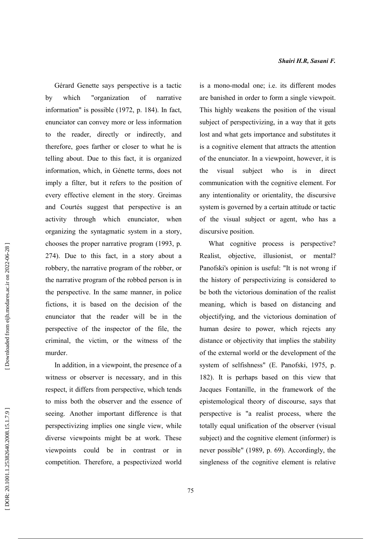Gérard Genette says perspective is a tactic by which "organization"  $\alpha$ f narrative information" is possible (1972, p. 184). In fact, enunciator can convey more or less information the reader, directly or indirectly, and to therefore, goes farther or closer to what he is telling about. Due to this fact, it is organized information, which, in Génette terms, does not imply a filter, but it refers to the position of every effective element in the story. Greimas and Courtés suggest that perspective is an activity through which enunciator, when organizing the syntagmatic system in a story, chooses the proper narrative program (1993, p. 274). Due to this fact, in a story about a robbery, the narrative program of the robber, or the narrative program of the robbed person is in the perspective. In the same manner, in police fictions, it is based on the decision of the enunciator that the reader will be in the perspective of the inspector of the file, the criminal, the victim, or the witness of the murder.

In addition, in a viewpoint, the presence of a witness or observer is necessary, and in this respect, it differs from perspective, which tends to miss both the observer and the essence of seeing. Another important difference is that perspectivizing implies one single view, while diverse viewpoints might be at work. These viewpoints could be in contrast or in competition. Therefore, a pespectivized world is a mono-modal one; i.e. its different modes are banished in order to form a single viewpoit. This highly weakens the position of the visual subject of perspectivizing, in a way that it gets lost and what gets importance and substitutes it is a cognitive element that attracts the attention of the enunciator. In a viewpoint, however, it is the visual subject who  $is$  $in$ direct communication with the cognitive element. For any intentionality or orientality, the discursive system is governed by a certain attitude or tactic of the visual subject or agent, who has a discursive position.

What cognitive process is perspective? objective, illusionist, Realist. or mental? Panofski's opinion is useful: "It is not wrong if the history of perspectivizing is considered to be both the victorious domination of the realist meaning, which is based on distancing and objectifying, and the victorious domination of human desire to power, which rejects any distance or objectivity that implies the stability of the external world or the development of the system of selfishness" (E. Panofski, 1975, p. 182). It is perhaps based on this view that Jacques Fontanille, in the framework of the epistemological theory of discourse, says that perspective is "a realist process, where the totally equal unification of the observer (visual subject) and the cognitive element (informer) is never possible" (1989, p. 69). Accordingly, the singleness of the cognitive element is relative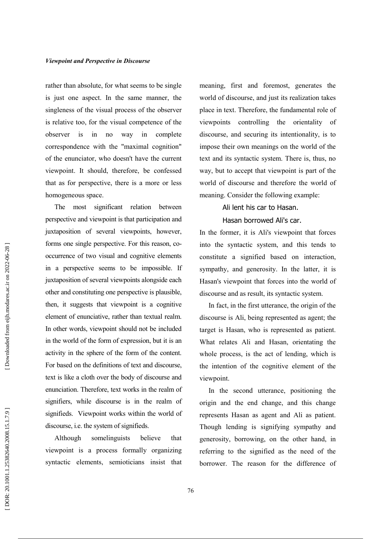rather than absolute, for what seems to be single is just one aspect. In the same manner, the singleness of the visual process of the observer is relative too, for the visual competence of the observer  $is$  $in$ no way in complete correspondence with the "maximal cognition" of the enunciator, who doesn't have the current viewpoint. It should, therefore, be confessed that as for perspective, there is a more or less homogeneous space.

The most significant relation between perspective and viewpoint is that participation and juxtaposition of several viewpoints, however, forms one single perspective. For this reason, cooccurrence of two visual and cognitive elements in a perspective seems to be impossible. If juxtaposition of several viewpoints alongside each other and constituting one perspective is plausible. then, it suggests that viewpoint is a cognitive element of enunciative, rather than textual realm. In other words, viewpoint should not be included in the world of the form of expression, but it is an activity in the sphere of the form of the content. For based on the definitions of text and discourse, text is like a cloth over the body of discourse and enunciation. Therefore, text works in the realm of signifiers, while discourse is in the realm of signifieds. Viewpoint works within the world of discourse, *i.e.* the system of signifieds.

somelinguists believe that Although viewpoint is a process formally organizing syntactic elements, semioticians insist that meaning, first and foremost, generates the world of discourse, and just its realization takes place in text. Therefore, the fundamental role of viewpoints controlling the orientality of discourse, and securing its intentionality, is to impose their own meanings on the world of the text and its syntactic system. There is, thus, no way, but to accept that viewpoint is part of the world of discourse and therefore the world of meaning. Consider the following example:

Ali lent his car to Hasan.

Hasan borrowed Ali's car.

In the former, it is Ali's viewpoint that forces into the syntactic system, and this tends to constitute a signified based on interaction. sympathy, and generosity. In the latter, it is Hasan's viewpoint that forces into the world of discourse and as result, its syntactic system.

In fact, in the first utterance, the origin of the discourse is Ali, being represented as agent; the target is Hasan, who is represented as patient. What relates Ali and Hasan, orientating the whole process, is the act of lending, which is the intention of the cognitive element of the viewpoint.

In the second utterance, positioning the origin and the end change, and this change represents Hasan as agent and Ali as patient. Though lending is signifying sympathy and generosity, borrowing, on the other hand, in referring to the signified as the need of the borrower. The reason for the difference of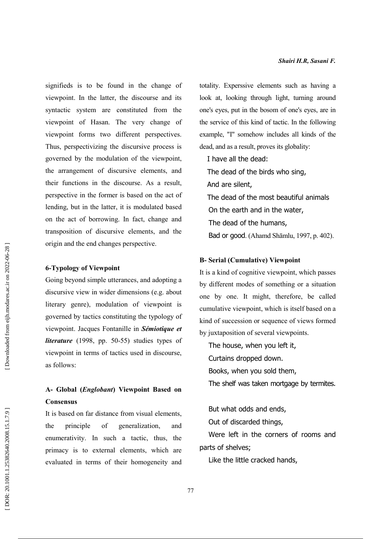signifieds is to be found in the change of viewpoint. In the latter, the discourse and its syntactic system are constituted from the viewpoint of Hasan. The very change of viewpoint forms two different perspectives. Thus, perspectivizing the discursive process is governed by the modulation of the viewpoint, the arrangement of discursive elements, and their functions in the discourse. As a result, perspective in the former is based on the act of lending, but in the latter, it is modulated based on the act of borrowing. In fact, change and transposition of discursive elements, and the origin and the end changes perspective.

### **6-Typology of Viewpoint**

Going beyond simple utterances, and adopting a discursive view in wider dimensions (e.g. about literary genre), modulation of viewpoint is governed by tactics constituting the typology of viewpoint. Jacques Fontanille in Sémiotique et *literature* (1998, pp. 50-55) studies types of viewpoint in terms of tactics used in discourse, as follows:

# A- Global (*Englobant*) Viewpoint Based on **Consensus**

It is based on far distance from visual elements. principle of generalization. and the enumerativity. In such a tactic, thus, the primacy is to external elements, which are evaluated in terms of their homogeneity and totality. Experssive elements such as having a look at, looking through light, turning around one's eves, put in the bosom of one's eves, are in the service of this kind of tactic. In the following example, "I" somehow includes all kinds of the dead, and as a result, proves its globality:

I have all the dead: The dead of the birds who sing, And are silent, The dead of the most beautiful animals On the earth and in the water. The dead of the humans, Bad or good. (Ahamd Shāmlu, 1997, p. 402).

### **B-Serial (Cumulative) Viewpoint**

It is a kind of cognitive viewpoint, which passes by different modes of something or a situation one by one. It might, therefore, be called cumulative viewpoint, which is itself based on a kind of succession or sequence of views formed by juxtaposition of several viewpoints.

The house, when you left it, Curtains dropped down. Books, when you sold them, The shelf was taken mortgage by termites.

But what odds and ends, Out of discarded things,

Were left in the corners of rooms and parts of shelves;

Like the little cracked hands,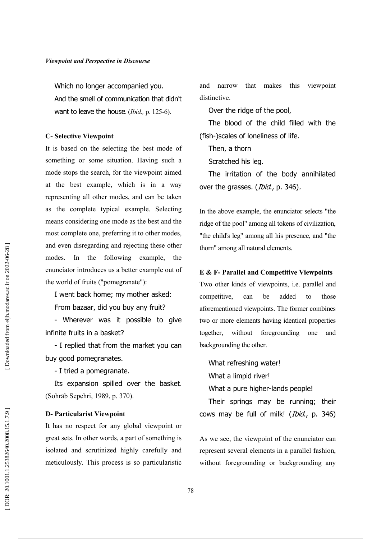Which no longer accompanied you. And the smell of communication that didn't want to leave the house. (Ibid., p. 125-6).

#### **C- Selective Viewpoint**

It is based on the selecting the best mode of something or some situation. Having such a mode stops the search, for the viewpoint aimed at the best example, which is in a way representing all other modes, and can be taken as the complete typical example. Selecting means considering one mode as the best and the most complete one, preferring it to other modes, and even disregarding and rejecting these other modes. In the following example, the enunciator introduces us a better example out of the world of fruits ("pomegranate"):

I went back home; my mother asked:

From bazaar, did you buy any fruit?

- Wherever was it possible to give infinite fruits in a basket?

- I replied that from the market you can buy good pomegranates.

- I tried a pomegranate.

Its expansion spilled over the basket. (Sohrāb Sepehri, 1989, p. 370).

### **D- Particularist Viewpoint**

It has no respect for any global viewpoint or great sets. In other words, a part of something is isolated and scrutinized highly carefully and meticulously. This process is so particularistic and narrow that makes this viewpoint distinctive.

Over the ridge of the pool,

The blood of the child filled with the (fish-)scales of loneliness of life.

Then, a thorn

Scratched his leg.

The irritation of the body annihilated over the grasses. (Ibid., p. 346).

In the above example, the enunciator selects "the ridge of the pool" among all tokens of civilization, "the child's leg" among all his presence, and "the thorn" among all natural elements.

## E & F- Parallel and Competitive Viewpoints

Two other kinds of viewpoints, i.e. parallel and competitive. can be added  $\mathbf{t}$ those aforementioned viewpoints. The former combines two or more elements having identical properties together. without foregrounding one and backgrounding the other.

What refreshing water! What a limpid river! What a pure higher-lands people!

Their springs may be running; their cows may be full of milk! (*Ibid.*, p. 346)

As we see, the viewpoint of the enunciator can represent several elements in a parallel fashion, without foregrounding or backgrounding any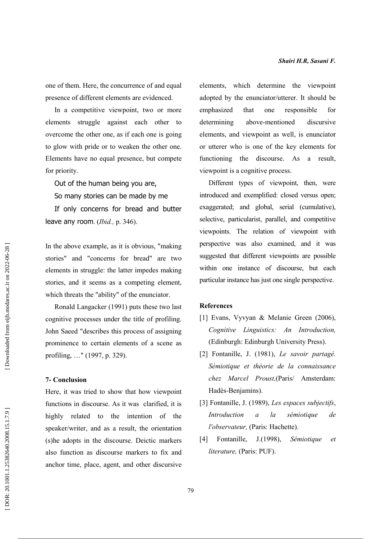one of them. Here, the concurrence of and equal presence of different elements are evidenced.

In a competitive viewpoint, two or more elements struggle against each other to overcome the other one, as if each one is going to glow with pride or to weaken the other one. Elements have no equal presence, but compete for priority.

Out of the human being you are,

So many stories can be made by me

If only concerns for bread and butter leave any room. (Ibid., p. 346).

In the above example, as it is obvious, "making" stories" and "concerns for bread" are two elements in struggle: the latter impedes making stories, and it seems as a competing element, which threats the "ability" of the enunciator.

Ronald Langacker (1991) puts these two last cognitive processes under the title of profiling. John Saeed "describes this process of assigning prominence to certain elements of a scene as profiling, ..." (1997, p. 329).

#### **7- Conclusion**

Here, it was tried to show that how viewpoint functions in discourse. As it was clarified, it is highly related to the intention of the speaker/writer, and as a result, the orientation (s) he adopts in the discourse. Deictic markers also function as discourse markers to fix and anchor time, place, agent, and other discursive elements, which determine the viewpoint adopted by the enunciator/utterer. It should be emphasized that one responsible  $for$ determining above-mentioned discursive elements, and viewpoint as well, is enunciator or utterer who is one of the key elements for functioning the discourse. As a result, viewpoint is a cognitive process.

Different types of viewpoint, then, were introduced and exemplified: closed versus open; exaggerated; and global, serial (cumulative), selective, particularist, parallel, and competitive viewpoints. The relation of viewpoint with perspective was also examined, and it was suggested that different viewpoints are possible within one instance of discourse, but each particular instance has just one single perspective.

# **References**

- [1] Evans, Vyvyan & Melanie Green (2006), Cognitive Linguistics: An Introduction, (Edinburgh: Edinburgh University Press).
- [2] Fontanille, J. (1981). Le savoir partagé. Sémiotique et théorie de la connaissance chez Marcel Proust, (Paris/ Amsterdam: Hadès-Beniamins).
- [3] Fontanille, J. (1989), Les espaces subjectifs, Introduction  $\overline{a}$  $l_a$ sémiotique  $de$ l'observateur. (Paris: Hachette).
- Fontanille,  $J(1998)$ , Sémiotique  $\lceil 4 \rceil$  $et$ literature, (Paris: PUF).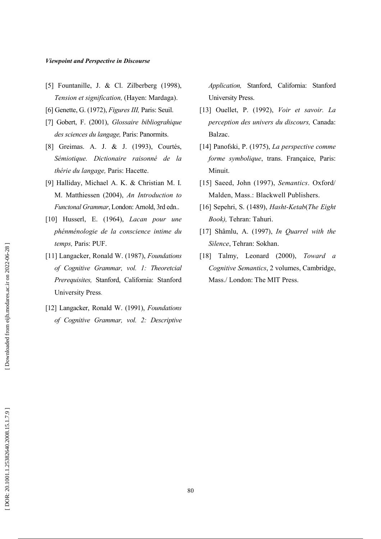- [5] Fountanille, J. & Cl. Zilberberg  $(1998)$ , Tension et signification, (Hayen: Mardaga).
- [6] Genette, G. (1972), Figures III, Paris: Seuil.
- [7] Gobert, F. (2001), Glossaire bibliograhique des sciences du langage, Paris: Panormits.
- [8] Greimas. A. J. & J. (1993), Courtés, Sémiotique. Dictionaire raisonné de la thérie du langage, Paris: Hacette.
- [9] Halliday, Michael A. K. & Christian M. I. M. Matthiessen (2004), An Introduction to Functonal Grammar, London: Arnold, 3rd edn...
- [10] Husserl, E. (1964), Lacan pour une phénménologie de la conscience intime du temps, Paris: PUF.
- [11] Langacker, Ronald W. (1987), Foundations of Cognitive Grammar, vol. 1: Theoretcial Prerequisites, Stanford, California: Stanford **University Press.**
- [12] Langacker, Ronald W. (1991), Foundations of Cognitive Grammar, vol. 2: Descriptive

Application, Stanford, California: Stanford University Press.

- [13] Ouellet, P. (1992), Voir et savoir. La perception des univers du discours, Canada: Balzac.
- [14] Panofski, P. (1975), La perspective comme forme symbolique, trans. Françaice, Paris: Minuit.
- [15] Saeed, John (1997), Semantics. Oxford/ Malden, Mass.: Blackwell Publishers.
- [16] Sepehri, S. (1489), Hasht-Ketab(The Eight Book), Tehran: Tahuri.
- [17] Shâmlu, A. (1997), In Quarrel with the Silence, Tehran: Sokhan.
- [18] Talmy, Leonard  $(2000)$ , Toward a Cognitive Semantics, 2 volumes, Cambridge, Mass./ London: The MIT Press.